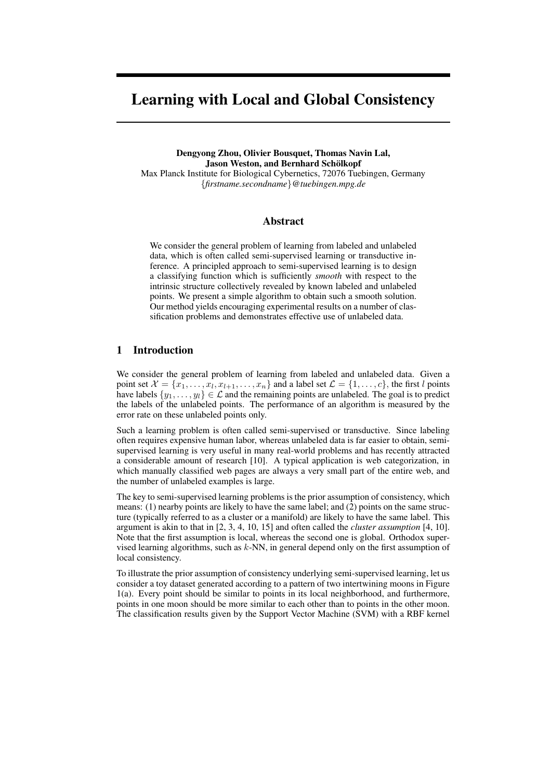# **Learning with Local and Global Consistency**

**Dengyong Zhou, Olivier Bousquet, Thomas Navin Lal, Jason Weston, and Bernhard Schölkopf** Max Planck Institute for Biological Cybernetics, 72076 Tuebingen, Germany {*firstname.secondname*}*@tuebingen.mpg.de*

## **Abstract**

We consider the general problem of learning from labeled and unlabeled data, which is often called semi-supervised learning or transductive inference. A principled approach to semi-supervised learning is to design a classifying function which is sufficiently *smooth* with respect to the intrinsic structure collectively revealed by known labeled and unlabeled points. We present a simple algorithm to obtain such a smooth solution. Our method yields encouraging experimental results on a number of classification problems and demonstrates effective use of unlabeled data.

# **1 Introduction**

We consider the general problem of learning from labeled and unlabeled data. Given a point set  $\mathcal{X} = \{x_1, \ldots, x_l, x_{l+1}, \ldots, x_n\}$  and a label set  $\mathcal{L} = \{1, \ldots, c\}$ , the first l points have labels  $\{y_1, \ldots, y_l\} \in \mathcal{L}$  and the remaining points are unlabeled. The goal is to predict the labels of the unlabeled points. The performance of an algorithm is measured by the error rate on these unlabeled points only.

Such a learning problem is often called semi-supervised or transductive. Since labeling often requires expensive human labor, whereas unlabeled data is far easier to obtain, semisupervised learning is very useful in many real-world problems and has recently attracted a considerable amount of research [10]. A typical application is web categorization, in which manually classified web pages are always a very small part of the entire web, and the number of unlabeled examples is large.

The key to semi-supervised learning problems is the prior assumption of consistency, which means: (1) nearby points are likely to have the same label; and (2) points on the same structure (typically referred to as a cluster or a manifold) are likely to have the same label. This argument is akin to that in [2, 3, 4, 10, 15] and often called the *cluster assumption* [4, 10]. Note that the first assumption is local, whereas the second one is global. Orthodox supervised learning algorithms, such as  $k$ -NN, in general depend only on the first assumption of local consistency.

To illustrate the prior assumption of consistency underlying semi-supervised learning, let us consider a toy dataset generated according to a pattern of two intertwining moons in Figure 1(a). Every point should be similar to points in its local neighborhood, and furthermore, points in one moon should be more similar to each other than to points in the other moon. The classification results given by the Support Vector Machine (SVM) with a RBF kernel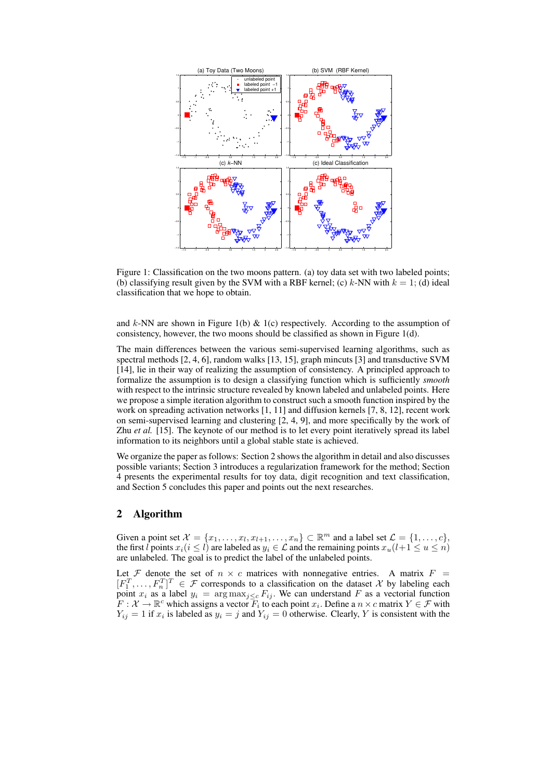

Figure 1: Classification on the two moons pattern. (a) toy data set with two labeled points; (b) classifying result given by the SVM with a RBF kernel; (c)  $k$ -NN with  $k = 1$ ; (d) ideal classification that we hope to obtain.

and  $k$ -NN are shown in Figure 1(b)  $\&$  1(c) respectively. According to the assumption of consistency, however, the two moons should be classified as shown in Figure 1(d).

The main differences between the various semi-supervised learning algorithms, such as spectral methods [2, 4, 6], random walks [13, 15], graph mincuts [3] and transductive SVM [14], lie in their way of realizing the assumption of consistency. A principled approach to formalize the assumption is to design a classifying function which is sufficiently *smooth* with respect to the intrinsic structure revealed by known labeled and unlabeled points. Here we propose a simple iteration algorithm to construct such a smooth function inspired by the work on spreading activation networks [1, 11] and diffusion kernels [7, 8, 12], recent work on semi-supervised learning and clustering [2, 4, 9], and more specifically by the work of Zhu *et al.* [15]. The keynote of our method is to let every point iteratively spread its label information to its neighbors until a global stable state is achieved.

We organize the paper as follows: Section 2 shows the algorithm in detail and also discusses possible variants; Section 3 introduces a regularization framework for the method; Section 4 presents the experimental results for toy data, digit recognition and text classification, and Section 5 concludes this paper and points out the next researches.

### **2 Algorithm**

Given a point set  $\mathcal{X} = \{x_1, \ldots, x_l, x_{l+1}, \ldots, x_n\} \subset \mathbb{R}^m$  and a label set  $\mathcal{L} = \{1, \ldots, c\}$ , the first l points  $x_i(i \leq l)$  are labeled as  $y_i \in \mathcal{L}$  and the remaining points  $x_u(l+1 \leq u \leq n)$ are unlabeled. The goal is to predict the label of the unlabeled points.

Let F denote the set of  $n \times c$  matrices with nonnegative entries. A matrix  $F =$  $[F_1^T, \ldots, F_n^T]^T \in \mathcal{F}$  corresponds to a classification on the dataset X by labeling each point  $x_i$  as a label  $y_i = \arg \max_{j \leq c} F_{ij}$ . We can understand F as a vectorial function  $F: \mathcal{X} \to \mathbb{R}^c$  which assigns a vector  $\overline{F_i}$  to each point  $x_i$ . Define a  $n \times c$  matrix  $Y \in \mathcal{F}$  with  $Y_{ij} = 1$  if  $x_i$  is labeled as  $y_i = j$  and  $Y_{ij} = 0$  otherwise. Clearly, Y is consistent with the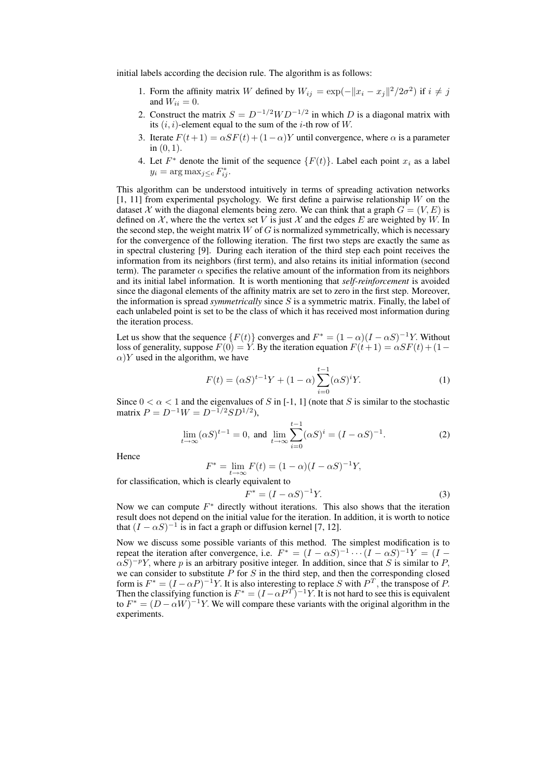initial labels according the decision rule. The algorithm is as follows:

- 1. Form the affinity matrix W defined by  $W_{ij} = \exp(-||x_i x_j||^2 / 2\sigma^2)$  if  $i \neq j$ and  $W_{ii} = 0$ .
- 2. Construct the matrix  $S = D^{-1/2}WD^{-1/2}$  in which D is a diagonal matrix with its  $(i, i)$ -element equal to the sum of the *i*-th row of W.
- 3. Iterate  $F(t+1) = \alpha SF(t) + (1-\alpha)Y$  until convergence, where  $\alpha$  is a parameter in (0, 1).
- 4. Let  $F^*$  denote the limit of the sequence  $\{F(t)\}\)$ . Label each point  $x_i$  as a label  $y_i = \arg \max_{j \leq c} F_{ij}^*$ .

This algorithm can be understood intuitively in terms of spreading activation networks  $[1, 11]$  from experimental psychology. We first define a pairwise relationship W on the dataset X with the diagonal elements being zero. We can think that a graph  $G = (V, E)$  is defined on  $\mathcal{X}$ , where the the vertex set V is just  $\mathcal{X}$  and the edges E are weighted by W. In the second step, the weight matrix  $W$  of  $G$  is normalized symmetrically, which is necessary for the convergence of the following iteration. The first two steps are exactly the same as in spectral clustering [9]. During each iteration of the third step each point receives the information from its neighbors (first term), and also retains its initial information (second term). The parameter  $\alpha$  specifies the relative amount of the information from its neighbors and its initial label information. It is worth mentioning that *self-reinforcement* is avoided since the diagonal elements of the affinity matrix are set to zero in the first step. Moreover, the information is spread *symmetrically* since S is a symmetric matrix. Finally, the label of each unlabeled point is set to be the class of which it has received most information during the iteration process.

Let us show that the sequence  ${F(t)}$  converges and  $F^* = (1 - \alpha)(I - \alpha S)^{-1}Y$ . Without loss of generality, suppose  $F(0) = Y$ . By the iteration equation  $F(t+1) = \alpha SF(t) + (1 \alpha$ )Y used in the algorithm, we have

$$
F(t) = (\alpha S)^{t-1} Y + (1 - \alpha) \sum_{i=0}^{t-1} (\alpha S)^i Y.
$$
 (1)

Since  $0 < \alpha < 1$  and the eigenvalues of S in [-1, 1] (note that S is similar to the stochastic matrix  $P = D^{-1}W = D^{-1/2}SD^{1/2}$ ,

$$
\lim_{t \to \infty} (\alpha S)^{t-1} = 0, \text{ and } \lim_{t \to \infty} \sum_{i=0}^{t-1} (\alpha S)^i = (I - \alpha S)^{-1}.
$$
 (2)

Hence

$$
F^* = \lim_{t \to \infty} F(t) = (1 - \alpha)(I - \alpha S)^{-1}Y,
$$

for classification, which is clearly equivalent to

$$
F^* = (I - \alpha S)^{-1} Y.
$$
 (3)

Now we can compute  $F^*$  directly without iterations. This also shows that the iteration result does not depend on the initial value for the iteration. In addition, it is worth to notice that  $(I - \alpha S)^{-1}$  is in fact a graph or diffusion kernel [7, 12].

Now we discuss some possible variants of this method. The simplest modification is to repeat the iteration after convergence, i.e.  $F^* = (I - \alpha S)^{-1} \cdots (I - \alpha S)^{-1} Y = (I - \alpha S)^{-1} Y$  $\alpha S$ )<sup>-p</sup>Y, where p is an arbitrary positive integer. In addition, since that S is similar to P, we can consider to substitute  $P$  for  $S$  in the third step, and then the corresponding closed form is  $F^* = (I - \alpha P)^{-1} Y$ . It is also interesting to replace S with  $P^T$ , the transpose of P. Then the classifying function is  $F^* = (I - \alpha P^T)^{-1} Y$ . It is not hard to see this is equivalent to  $F^* = (D - \alpha W)^{-1}Y$ . We will compare these variants with the original algorithm in the experiments.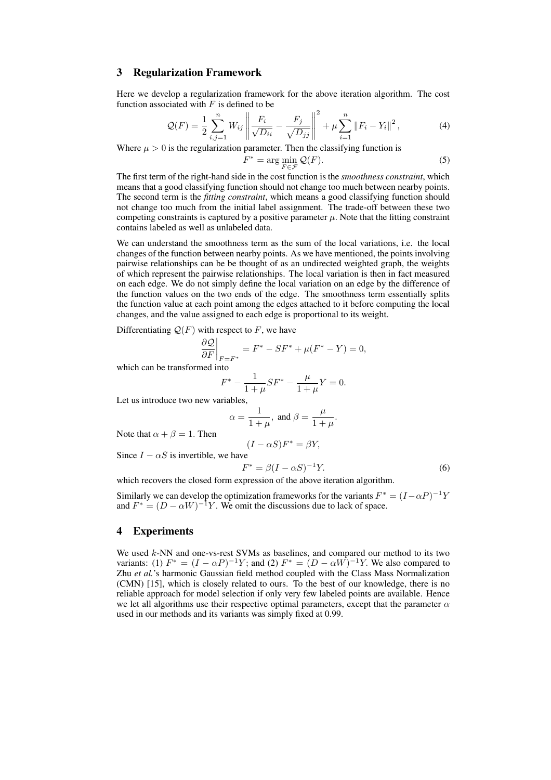## **3 Regularization Framework**

Here we develop a regularization framework for the above iteration algorithm. The cost function associated with  $F$  is defined to be  $\overline{2}$ 

$$
Q(F) = \frac{1}{2} \sum_{i,j=1}^{n} W_{ij} \left\| \frac{F_i}{\sqrt{D_{ii}}} - \frac{F_j}{\sqrt{D_{jj}}} \right\|^2 + \mu \sum_{i=1}^{n} \left\| F_i - Y_i \right\|^2, \tag{4}
$$

Where  $\mu > 0$  is the regularization parameter. Then the classifying function is

$$
F^* = \arg\min_{F \in \mathcal{F}} \mathcal{Q}(F). \tag{5}
$$

The first term of the right-hand side in the cost function is the *smoothness constraint*, which means that a good classifying function should not change too much between nearby points. The second term is the *fitting constraint*, which means a good classifying function should not change too much from the initial label assignment. The trade-off between these two competing constraints is captured by a positive parameter  $\mu$ . Note that the fitting constraint contains labeled as well as unlabeled data.

We can understand the smoothness term as the sum of the local variations, i.e. the local changes of the function between nearby points. As we have mentioned, the points involving pairwise relationships can be be thought of as an undirected weighted graph, the weights of which represent the pairwise relationships. The local variation is then in fact measured on each edge. We do not simply define the local variation on an edge by the difference of the function values on the two ends of the edge. The smoothness term essentially splits the function value at each point among the edges attached to it before computing the local changes, and the value assigned to each edge is proportional to its weight.

Differentiating  $Q(F)$  with respect to F, we have

$$
\left. \frac{\partial \mathcal{Q}}{\partial F} \right|_{F=F^*} = F^* - SF^* + \mu(F^* - Y) = 0,
$$

which can be transformed into

$$
F^* - \frac{1}{1+\mu} SF^* - \frac{\mu}{1+\mu} Y = 0.
$$

Let us introduce two new variables,

$$
\alpha = \frac{1}{1+\mu}, \text{ and } \beta = \frac{\mu}{1+\mu}.
$$

 $(I - \alpha S)F^* = \beta Y$ ,

Note that  $\alpha + \beta = 1$ . Then

Since 
$$
I - \alpha S
$$
 is invertible, we have  
\n
$$
F^* = \beta (I - \alpha S)^{-1} Y.
$$
\n(6)

which recovers the closed form expression of the above iteration algorithm.

Similarly we can develop the optimization frameworks for the variants  $F^* = (I - \alpha P)^{-1}Y$ and  $F^* = (D - \alpha W)^{-1} Y$ . We omit the discussions due to lack of space.

# **4 Experiments**

We used  $k$ -NN and one-vs-rest SVMs as baselines, and compared our method to its two variants: (1)  $F^* = (I - \alpha P)^{-1} Y$ ; and (2)  $F^* = (D - \alpha W)^{-1} Y$ . We also compared to Zhu *et al.*'s harmonic Gaussian field method coupled with the Class Mass Normalization (CMN) [15], which is closely related to ours. To the best of our knowledge, there is no reliable approach for model selection if only very few labeled points are available. Hence we let all algorithms use their respective optimal parameters, except that the parameter  $\alpha$ used in our methods and its variants was simply fixed at 0.99.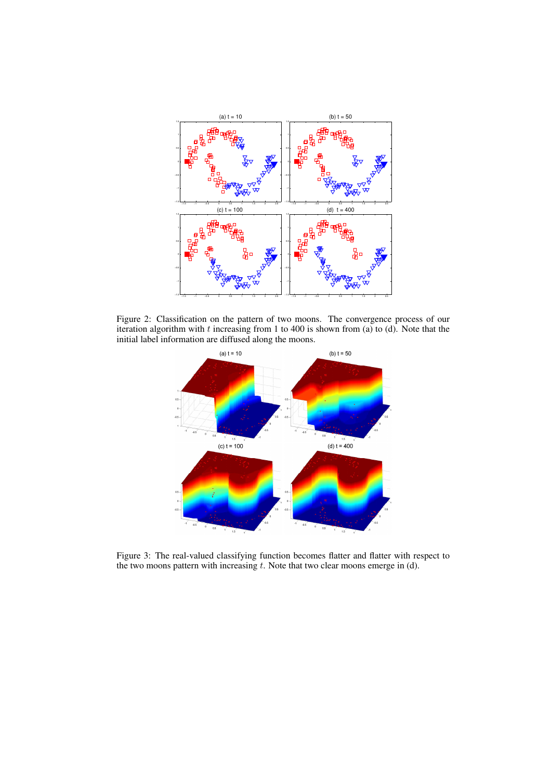

Figure 2: Classification on the pattern of two moons. The convergence process of our iteration algorithm with t increasing from 1 to 400 is shown from (a) to (d). Note that the initial label information are diffused along the moons.



Figure 3: The real-valued classifying function becomes flatter and flatter with respect to the two moons pattern with increasing  $t$ . Note that two clear moons emerge in (d).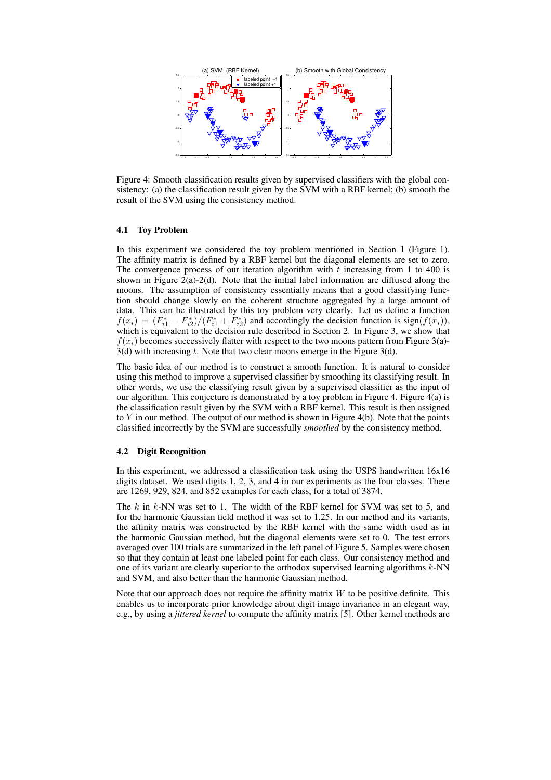

Figure 4: Smooth classification results given by supervised classifiers with the global consistency: (a) the classification result given by the SVM with a RBF kernel; (b) smooth the result of the SVM using the consistency method.

#### **4.1 Toy Problem**

In this experiment we considered the toy problem mentioned in Section 1 (Figure 1). The affinity matrix is defined by a RBF kernel but the diagonal elements are set to zero. The convergence process of our iteration algorithm with  $t$  increasing from 1 to 400 is shown in Figure 2(a)-2(d). Note that the initial label information are diffused along the moons. The assumption of consistency essentially means that a good classifying function should change slowly on the coherent structure aggregated by a large amount of data. This can be illustrated by this toy problem very clearly. Let us define a function  $f(x_i) = (F_{i1}^* - F_{i2}^*)/(F_{i1}^* + F_{i2}^*)$  and accordingly the decision function is sign( $f(x_i)$ ), which is equivalent to the decision rule described in Section 2. In Figure 3, we show that  $f(x_i)$  becomes successively flatter with respect to the two moons pattern from Figure 3(a)- $3(d)$  with increasing t. Note that two clear moons emerge in the Figure 3(d).

The basic idea of our method is to construct a smooth function. It is natural to consider using this method to improve a supervised classifier by smoothing its classifying result. In other words, we use the classifying result given by a supervised classifier as the input of our algorithm. This conjecture is demonstrated by a toy problem in Figure 4. Figure 4(a) is the classification result given by the SVM with a RBF kernel. This result is then assigned to Y in our method. The output of our method is shown in Figure 4(b). Note that the points classified incorrectly by the SVM are successfully *smoothed* by the consistency method.

#### **4.2 Digit Recognition**

In this experiment, we addressed a classification task using the USPS handwritten 16x16 digits dataset. We used digits 1, 2, 3, and 4 in our experiments as the four classes. There are 1269, 929, 824, and 852 examples for each class, for a total of 3874.

The k in k-NN was set to 1. The width of the RBF kernel for SVM was set to 5, and for the harmonic Gaussian field method it was set to 1.25. In our method and its variants, the affinity matrix was constructed by the RBF kernel with the same width used as in the harmonic Gaussian method, but the diagonal elements were set to 0. The test errors averaged over 100 trials are summarized in the left panel of Figure 5. Samples were chosen so that they contain at least one labeled point for each class. Our consistency method and one of its variant are clearly superior to the orthodox supervised learning algorithms  $k$ -NN and SVM, and also better than the harmonic Gaussian method.

Note that our approach does not require the affinity matrix  $W$  to be positive definite. This enables us to incorporate prior knowledge about digit image invariance in an elegant way, e.g., by using a *jittered kernel* to compute the affinity matrix [5]. Other kernel methods are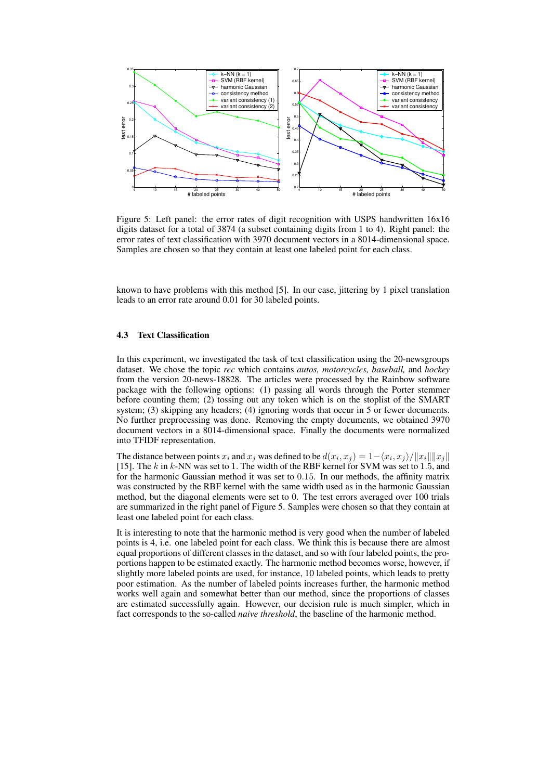

Figure 5: Left panel: the error rates of digit recognition with USPS handwritten 16x16 digits dataset for a total of 3874 (a subset containing digits from 1 to 4). Right panel: the error rates of text classification with 3970 document vectors in a 8014-dimensional space. Samples are chosen so that they contain at least one labeled point for each class.

known to have problems with this method [5]. In our case, jittering by 1 pixel translation leads to an error rate around 0.01 for 30 labeled points.

#### **4.3 Text Classification**

In this experiment, we investigated the task of text classification using the 20-newsgroups dataset. We chose the topic *rec* which contains *autos, motorcycles, baseball,* and *hockey* from the version 20-news-18828. The articles were processed by the Rainbow software package with the following options: (1) passing all words through the Porter stemmer before counting them; (2) tossing out any token which is on the stoplist of the SMART system; (3) skipping any headers; (4) ignoring words that occur in 5 or fewer documents. No further preprocessing was done. Removing the empty documents, we obtained 3970 document vectors in a 8014-dimensional space. Finally the documents were normalized into TFIDF representation.

The distance between points  $x_i$  and  $x_j$  was defined to be  $d(x_i, x_j) = 1 - \langle x_i, x_j \rangle / ||x_i|| ||x_j||$ [15]. The k in k-NN was set to 1. The width of the RBF kernel for SVM was set to 1.5, and for the harmonic Gaussian method it was set to 0.15. In our methods, the affinity matrix was constructed by the RBF kernel with the same width used as in the harmonic Gaussian method, but the diagonal elements were set to 0. The test errors averaged over 100 trials are summarized in the right panel of Figure 5. Samples were chosen so that they contain at least one labeled point for each class.

It is interesting to note that the harmonic method is very good when the number of labeled points is 4, i.e. one labeled point for each class. We think this is because there are almost equal proportions of different classes in the dataset, and so with four labeled points, the proportions happen to be estimated exactly. The harmonic method becomes worse, however, if slightly more labeled points are used, for instance, 10 labeled points, which leads to pretty poor estimation. As the number of labeled points increases further, the harmonic method works well again and somewhat better than our method, since the proportions of classes are estimated successfully again. However, our decision rule is much simpler, which in fact corresponds to the so-called *naive threshold*, the baseline of the harmonic method.